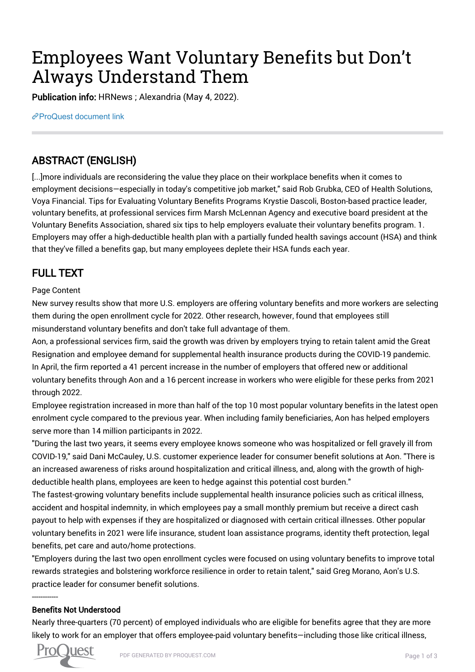# Employees Want Voluntary Benefits but Don't Always Understand Them

Publication info: HRNews ; Alexandria (May 4, 2022).

[ProQuest document link](https://www.proquest.com/trade-journals/employees-want-voluntary-benefits-don-t-always/docview/2659630793/se-2?accountid=44910)

## ABSTRACT (ENGLISH)

[...]more individuals are reconsidering the value they place on their workplace benefits when it comes to employment decisions—especially in today's competitive job market," said Rob Grubka, CEO of Health Solutions, Voya Financial. Tips for Evaluating Voluntary Benefits Programs Krystie Dascoli, Boston-based practice leader, voluntary benefits, at professional services firm Marsh McLennan Agency and executive board president at the Voluntary Benefits Association, shared six tips to help employers evaluate their voluntary benefits program. 1. Employers may offer a high-deductible health plan with a partially funded health savings account (HSA) and think that they've filled a benefits gap, but many employees deplete their HSA funds each year.

## FULL TEXT

#### Page Content

New survey results show that more U.S. employers are offering voluntary benefits and more workers are selecting them during the open enrollment cycle for 2022. Other research, however, found that employees still misunderstand voluntary benefits and don't take full advantage of them.

Aon, a professional services firm, said the growth was driven by employers trying to retain talent amid the Great Resignation and employee demand for supplemental health insurance products during the COVID-19 pandemic. In April, the firm reported a 41 percent increase in the number of employers that offered new or additional voluntary benefits through Aon and a 16 percent increase in workers who were eligible for these perks from 2021 through 2022.

Employee registration increased in more than half of the top 10 most popular voluntary benefits in the latest open enrolment cycle compared to the previous year. When including family beneficiaries, Aon has helped employers serve more than 14 million participants in 2022.

"During the last two years, it seems every employee knows someone who was hospitalized or fell gravely ill from COVID-19," said Dani McCauley, U.S. customer experience leader for consumer benefit solutions at Aon. "There is an increased awareness of risks around hospitalization and critical illness, and, along with the growth of highdeductible health plans, employees are keen to hedge against this potential cost burden."

The fastest-growing voluntary benefits include supplemental health insurance policies such as critical illness, accident and hospital indemnity, in which employees pay a small monthly premium but receive a direct cash payout to help with expenses if they are hospitalized or diagnosed with certain critical illnesses. Other popular voluntary benefits in 2021 were life insurance, student loan assistance programs, identity theft protection, legal benefits, pet care and auto/home protections.

"Employers during the last two open enrollment cycles were focused on using voluntary benefits to improve total rewards strategies and bolstering workforce resilience in order to retain talent," said Greg Morano, Aon's U.S. practice leader for consumer benefit solutions.

#### Benefits Not Understood

Nearly three-quarters (70 percent) of employed individuals who are eligible for benefits agree that they are more likely to work for an employer that offers employee-paid voluntary benefits—including those like critical illness,



------------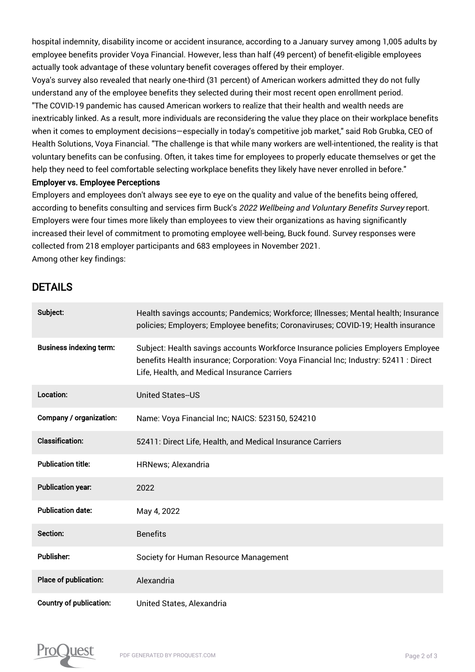hospital indemnity, disability income or accident insurance, according to a January survey among 1,005 adults by employee benefits provider Voya Financial. However, less than half (49 percent) of benefit-eligible employees actually took advantage of these voluntary benefit coverages offered by their employer.

Voya's survey also revealed that nearly one-third (31 percent) of American workers admitted they do not fully understand any of the employee benefits they selected during their most recent open enrollment period. "The COVID-19 pandemic has caused American workers to realize that their health and wealth needs are inextricably linked. As a result, more individuals are reconsidering the value they place on their workplace benefits when it comes to employment decisions—especially in today's competitive job market," said Rob Grubka, CEO of Health Solutions, Voya Financial. "The challenge is that while many workers are well-intentioned, the reality is that voluntary benefits can be confusing. Often, it takes time for employees to properly educate themselves or get the help they need to feel comfortable selecting workplace benefits they likely have never enrolled in before."

#### Employer vs. Employee Perceptions

Employers and employees don't always see eye to eye on the quality and value of the benefits being offered, according to benefits consulting and services firm Buck's 2022 Wellbeing and Voluntary Benefits Survey report. Employers were four times more likely than employees to view their organizations as having significantly increased their level of commitment to promoting employee well-being, Buck found. Survey responses were collected from 218 employer participants and 683 employees in November 2021. Among other key findings:

### DETAILS

| Subject:                       | Health savings accounts; Pandemics; Workforce; Illnesses; Mental health; Insurance<br>policies; Employers; Employee benefits; Coronaviruses; COVID-19; Health insurance                                                  |
|--------------------------------|--------------------------------------------------------------------------------------------------------------------------------------------------------------------------------------------------------------------------|
| <b>Business indexing term:</b> | Subject: Health savings accounts Workforce Insurance policies Employers Employee<br>benefits Health insurance; Corporation: Voya Financial Inc; Industry: 52411 : Direct<br>Life, Health, and Medical Insurance Carriers |
| Location:                      | <b>United States--US</b>                                                                                                                                                                                                 |
| Company / organization:        | Name: Voya Financial Inc; NAICS: 523150, 524210                                                                                                                                                                          |
| <b>Classification:</b>         | 52411: Direct Life, Health, and Medical Insurance Carriers                                                                                                                                                               |
| <b>Publication title:</b>      | <b>HRNews</b> ; Alexandria                                                                                                                                                                                               |
| <b>Publication year:</b>       | 2022                                                                                                                                                                                                                     |
| <b>Publication date:</b>       | May 4, 2022                                                                                                                                                                                                              |
| Section:                       | <b>Benefits</b>                                                                                                                                                                                                          |
| <b>Publisher:</b>              | Society for Human Resource Management                                                                                                                                                                                    |
| Place of publication:          | Alexandria                                                                                                                                                                                                               |
| <b>Country of publication:</b> | United States, Alexandria                                                                                                                                                                                                |